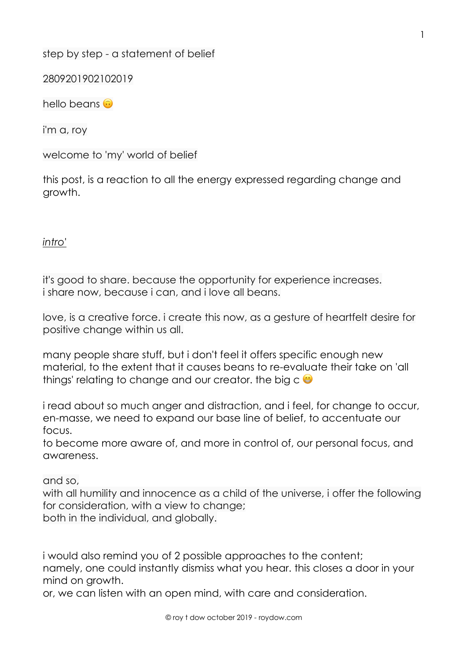step by step - a statement of belief

2809201902102019

hello beans **a** 

i'm a, roy

welcome to 'my' world of belief

this post, is a reaction to all the energy expressed regarding change and growth.

*intro'*

it's good to share. because the opportunity for experience increases. i share now, because i can, and i love all beans.

love, is a creative force. i create this now, as a gesture of heartfelt desire for positive change within us all.

many people share stuff, but i don't feel it offers specific enough new material, to the extent that it causes beans to re-evaluate their take on 'all things' relating to change and our creator. the big  $c \oplus$ 

i read about so much anger and distraction, and i feel, for change to occur, en-masse, we need to expand our base line of belief, to accentuate our focus.

to become more aware of, and more in control of, our personal focus, and awareness.

and so,

with all humility and innocence as a child of the universe, i offer the following for consideration, with a view to change; both in the individual, and globally.

i would also remind you of 2 possible approaches to the content; namely, one could instantly dismiss what you hear. this closes a door in your mind on growth.

or, we can listen with an open mind, with care and consideration.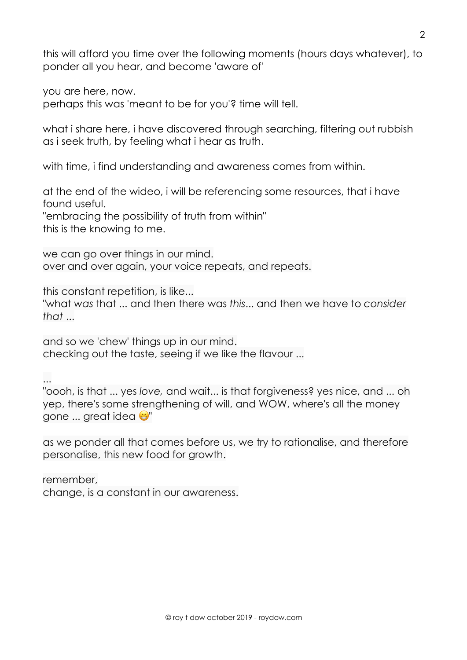this will afford you time over the following moments (hours days whatever), to ponder all you hear, and become 'aware of'

you are here, now.

perhaps this was 'meant to be for you'? time will tell.

what i share here, i have discovered through searching, filtering out rubbish as i seek truth, by feeling what i hear as truth.

with time, i find understanding and awareness comes from within.

at the end of the wideo, i will be referencing some resources, that i have found useful. "embracing the possibility of truth from within" this is the knowing to me.

we can go over things in our mind. over and over again, your voice repeats, and repeats.

this constant repetition, is like...

"what *was* that ... and then there was *this*... and then we have to *consider that* ...

and so we 'chew' things up in our mind. checking out the taste, seeing if we like the flavour ...

...

"oooh, is that ... yes *love,* and wait... is that forgiveness? yes nice, and ... oh yep, there's some strengthening of will, and WOW, where's all the money gone ... great idea (

as we ponder all that comes before us, we try to rationalise, and therefore personalise, this new food for growth.

remember, change, is a constant in our awareness.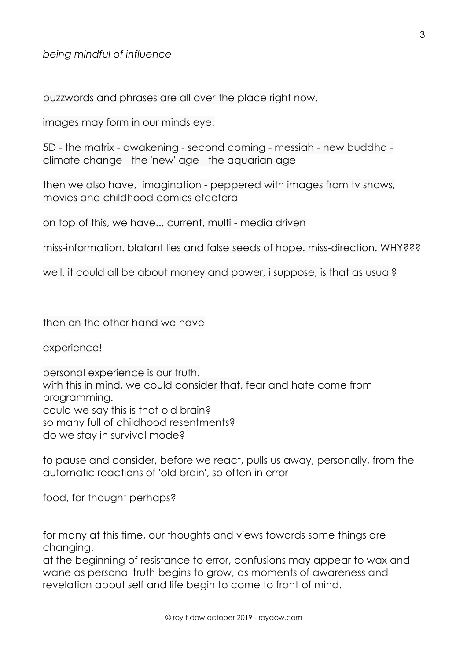## *being mindful of influence*

buzzwords and phrases are all over the place right now.

images may form in our minds eye.

5D - the matrix - awakening - second coming - messiah - new buddha climate change - the 'new' age - the aquarian age

then we also have, imagination - peppered with images from tv shows, movies and childhood comics etcetera

on top of this, we have... current, multi - media driven

miss-information. blatant lies and false seeds of hope. miss-direction. WHY???

well, it could all be about money and power, i suppose; is that as usual?

then on the other hand we have

experience!

personal experience is our truth. with this in mind, we could consider that, fear and hate come from programming. could we say this is that old brain? so many full of childhood resentments? do we stay in survival mode?

to pause and consider, before we react, pulls us away, personally, from the automatic reactions of 'old brain', so often in error

food, for thought perhaps?

for many at this time, our thoughts and views towards some things are changing.

at the beginning of resistance to error, confusions may appear to wax and wane as personal truth begins to grow, as moments of awareness and revelation about self and life begin to come to front of mind.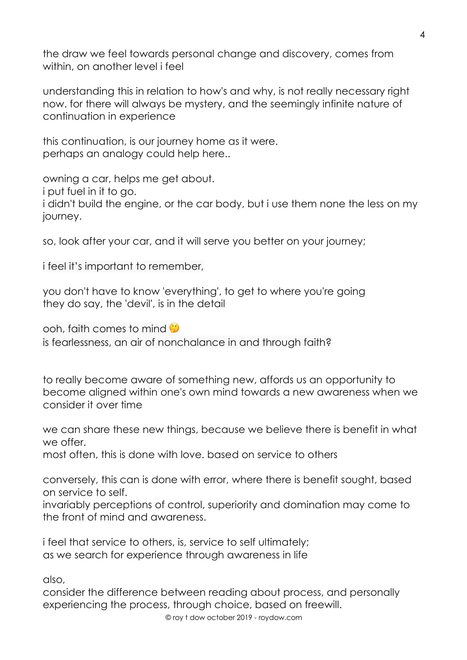the draw we feel towards personal change and discovery, comes from within, on another level i feel

understanding this in relation to how's and why, is not really necessary right now. for there will always be mystery, and the seemingly infinite nature of continuation in experience

this continuation, is our journey home as it were. perhaps an analogy could help here..

owning a car, helps me get about. i put fuel in it to go. i didn't build the engine, or the car body, but i use them none the less on my journey.

so, look after your car, and it will serve you better on your journey;

i feel it's important to remember,

you don't have to know 'everything', to get to where you're going they do say, the 'devil', is in the detail

ooh, faith comes to mind

is fearlessness, an air of nonchalance in and through faith?

to really become aware of something new, affords us an opportunity to become aligned within one's own mind towards a new awareness when we consider it over time

we can share these new things, because we believe there is benefit in what we offer.

most often, this is done with love. based on service to others

conversely, this can is done with error, where there is benefit sought, based on service to self.

invariably perceptions of control, superiority and domination may come to the front of mind and awareness.

i feel that service to others, is, service to self ultimately; as we search for experience through awareness in life

also,

consider the difference between reading about process, and personally experiencing the process, through choice, based on freewill.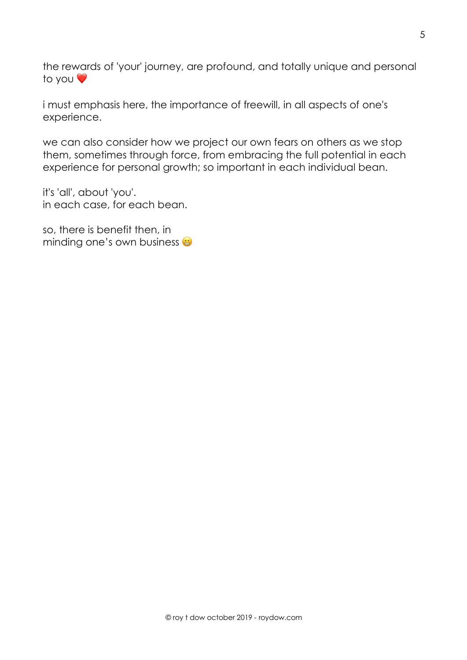the rewards of 'your' journey, are profound, and totally unique and personal to you ❤

i must emphasis here, the importance of freewill, in all aspects of one's experience.

we can also consider how we project our own fears on others as we stop them, sometimes through force, from embracing the full potential in each experience for personal growth; so important in each individual bean.

it's 'all', about 'you'. in each case, for each bean.

so, there is benefit then, in minding one's own business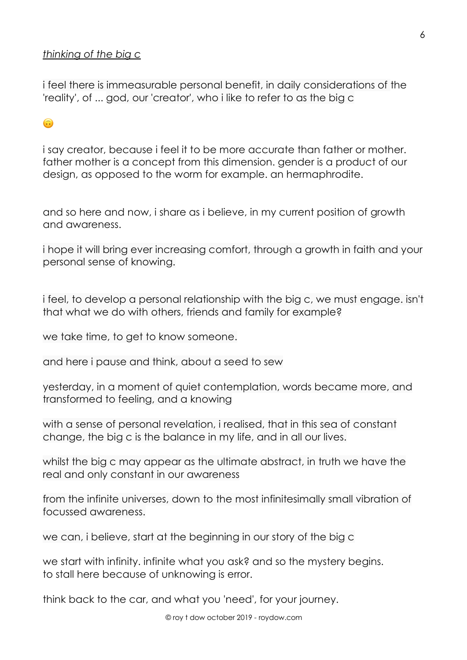## *thinking of the big c*

i feel there is immeasurable personal benefit, in daily considerations of the 'reality', of ... god, our 'creator', who i like to refer to as the big c

# $\bigodot$

i say creator, because i feel it to be more accurate than father or mother. father mother is a concept from this dimension. gender is a product of our design, as opposed to the worm for example. an hermaphrodite.

and so here and now, i share as i believe, in my current position of growth and awareness.

i hope it will bring ever increasing comfort, through a growth in faith and your personal sense of knowing.

i feel, to develop a personal relationship with the big c, we must engage. isn't that what we do with others, friends and family for example?

we take time, to get to know someone.

and here i pause and think, about a seed to sew

yesterday, in a moment of quiet contemplation, words became more, and transformed to feeling, and a knowing

with a sense of personal revelation, i realised, that in this sea of constant change, the big c is the balance in my life, and in all our lives.

whilst the big c may appear as the ultimate abstract, in truth we have the real and only constant in our awareness

from the infinite universes, down to the most infinitesimally small vibration of focussed awareness.

we can, i believe, start at the beginning in our story of the big c

we start with infinity. infinite what you ask? and so the mystery begins. to stall here because of unknowing is error.

think back to the car, and what you 'need', for your journey.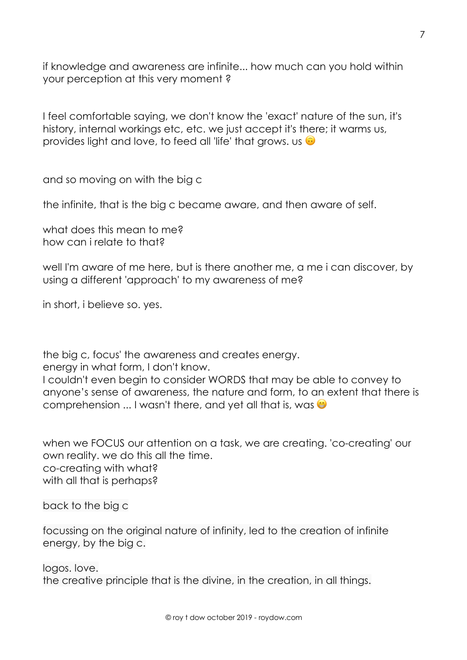if knowledge and awareness are infinite... how much can you hold within your perception at this very moment ?

I feel comfortable saying, we don't know the 'exact' nature of the sun, it's history, internal workings etc, etc. we just accept it's there; it warms us, provides light and love, to feed all 'life' that grows. us  $\odot$ 

and so moving on with the big c

the infinite, that is the big c became aware, and then aware of self.

what does this mean to me? how can i relate to that?

well I'm aware of me here, but is there another me, a me i can discover, by using a different 'approach' to my awareness of me?

in short, i believe so. yes.

the big c, focus' the awareness and creates energy.

energy in what form, I don't know.

I couldn't even begin to consider WORDS that may be able to convey to anyone's sense of awareness, the nature and form, to an extent that there is comprehension ... I wasn't there, and yet all that is, was  $\bullet$ 

when we FOCUS our attention on a task, we are creating. 'co-creating' our own reality. we do this all the time. co-creating with what? with all that is perhaps?

back to the big c

focussing on the original nature of infinity, led to the creation of infinite energy, by the big c.

logos. love. the creative principle that is the divine, in the creation, in all things.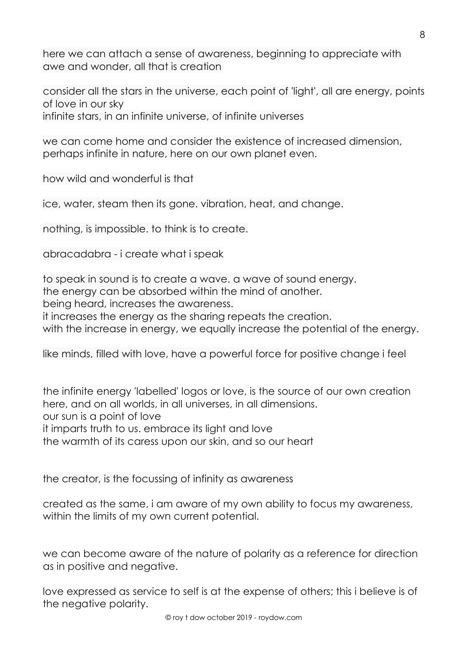here we can attach a sense of awareness, beginning to appreciate with awe and wonder, all that is creation

consider all the stars in the universe, each point of 'light', all are energy, points of love in our sky infinite stars, in an infinite universe, of infinite universes

we can come home and consider the existence of increased dimension, perhaps infinite in nature, here on our own planet even.

how wild and wonderful is that

ice, water, steam then its gone. vibration, heat, and change.

nothing, is impossible. to think is to create.

abracadabra - i create what i speak

to speak in sound is to create a wave. a wave of sound energy. the energy can be absorbed within the mind of another. being heard, increases the awareness. it increases the energy as the sharing repeats the creation. with the increase in energy, we equally increase the potential of the energy.

like minds, filled with love, have a powerful force for positive change i feel

the infinite energy 'labelled' logos or love, is the source of our own creation here, and on all worlds, in all universes, in all dimensions. our sun is a point of love it imparts truth to us. embrace its light and love the warmth of its caress upon our skin, and so our heart

the creator, is the focussing of infinity as awareness

created as the same, i am aware of my own ability to focus my awareness, within the limits of my own current potential.

we can become aware of the nature of polarity as a reference for direction as in positive and negative.

love expressed as service to self is at the expense of others; this i believe is of the negative polarity.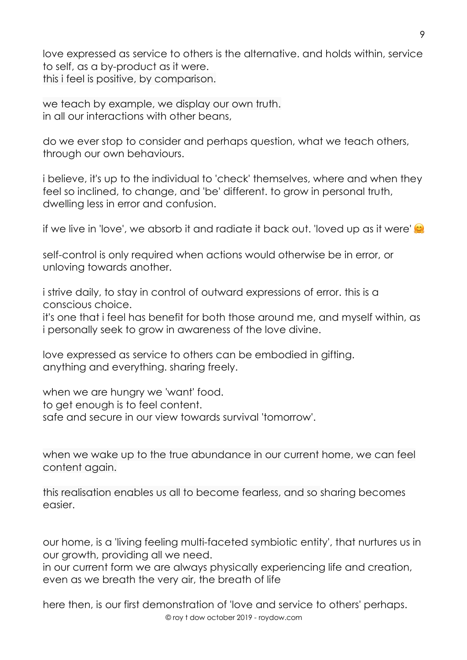love expressed as service to others is the alternative. and holds within, service to self, as a by-product as it were. this i feel is positive, by comparison.

we teach by example, we display our own truth. in all our interactions with other beans,

do we ever stop to consider and perhaps question, what we teach others, through our own behaviours.

i believe, it's up to the individual to 'check' themselves, where and when they feel so inclined, to change, and 'be' different. to grow in personal truth, dwelling less in error and confusion.

if we live in 'love', we absorb it and radiate it back out. 'loved up as it were'

self-control is only required when actions would otherwise be in error, or unloving towards another.

i strive daily, to stay in control of outward expressions of error. this is a conscious choice.

it's one that i feel has benefit for both those around me, and myself within, as i personally seek to grow in awareness of the love divine.

love expressed as service to others can be embodied in gifting. anything and everything. sharing freely.

when we are hungry we 'want' food. to get enough is to feel content. safe and secure in our view towards survival 'tomorrow'.

when we wake up to the true abundance in our current home, we can feel content again.

this realisation enables us all to become fearless, and so sharing becomes easier.

our home, is a 'living feeling multi-faceted symbiotic entity', that nurtures us in our growth, providing all we need.

in our current form we are always physically experiencing life and creation, even as we breath the very air, the breath of life

© roy t dow october 2019 - roydow.com here then, is our first demonstration of 'love and service to others' perhaps.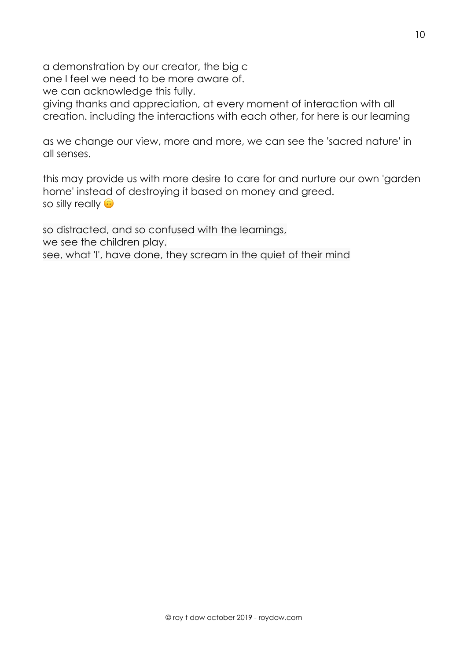a demonstration by our creator, the big c

one I feel we need to be more aware of.

we can acknowledge this fully.

giving thanks and appreciation, at every moment of interaction with all creation. including the interactions with each other, for here is our learning

as we change our view, more and more, we can see the 'sacred nature' in all senses.

this may provide us with more desire to care for and nurture our own 'garden home' instead of destroying it based on money and greed. so silly really  $\odot$ 

so distracted, and so confused with the learnings, we see the children play. see, what 'I', have done, they scream in the quiet of their mind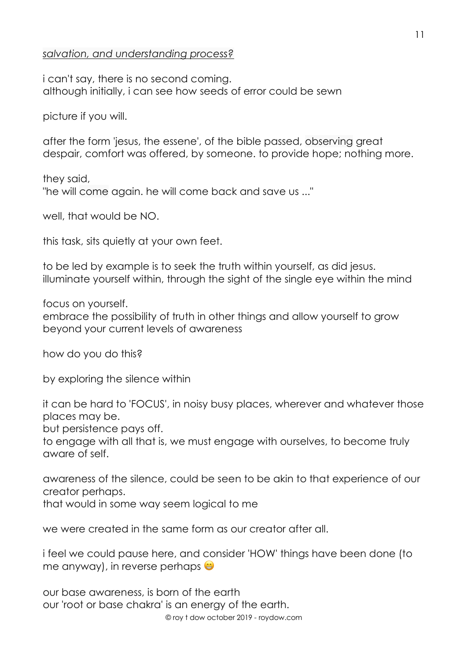## *salvation, and understanding process?*

i can't say, there is no second coming. although initially, i can see how seeds of error could be sewn

picture if you will.

after the form 'jesus, the essene', of the bible passed, observing great despair, comfort was offered, by someone. to provide hope; nothing more.

they said, "he will come again. he will come back and save us ..."

well, that would be NO.

this task, sits quietly at your own feet.

to be led by example is to seek the truth within yourself, as did jesus. illuminate yourself within, through the sight of the single eye within the mind

focus on yourself.

embrace the possibility of truth in other things and allow yourself to grow beyond your current levels of awareness

how do you do this?

by exploring the silence within

it can be hard to 'FOCUS', in noisy busy places, wherever and whatever those places may be.

but persistence pays off.

to engage with all that is, we must engage with ourselves, to become truly aware of self.

awareness of the silence, could be seen to be akin to that experience of our creator perhaps.

that would in some way seem logical to me

we were created in the same form as our creator after all.

i feel we could pause here, and consider 'HOW' things have been done (to me anyway), in reverse perhaps  $\bullet$ 

© roy t dow october 2019 - roydow.com our base awareness, is born of the earth our 'root or base chakra' is an energy of the earth.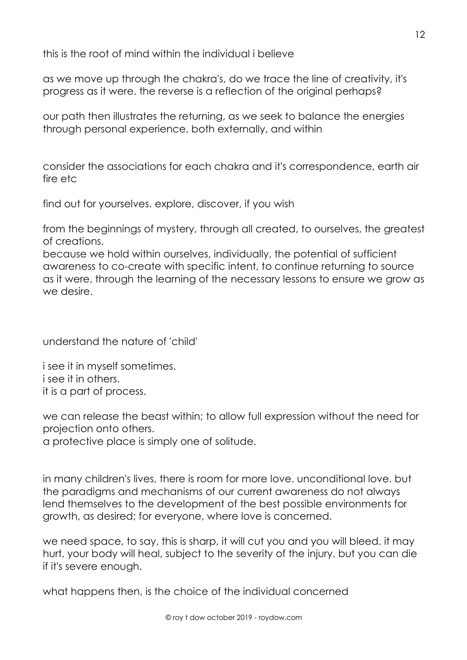this is the root of mind within the individual i believe

as we move up through the chakra's, do we trace the line of creativity, it's progress as it were. the reverse is a reflection of the original perhaps?

our path then illustrates the returning, as we seek to balance the energies through personal experience, both externally, and within

consider the associations for each chakra and it's correspondence, earth air fire etc

find out for yourselves. explore, discover, if you wish

from the beginnings of mystery, through all created, to ourselves, the greatest of creations.

because we hold within ourselves, individually, the potential of sufficient awareness to co-create with specific intent, to continue returning to source as it were, through the learning of the necessary lessons to ensure we grow as we desire.

understand the nature of 'child'

i see it in myself sometimes. i see it in others. it is a part of process.

we can release the beast within; to allow full expression without the need for projection onto others.

a protective place is simply one of solitude.

in many children's lives, there is room for more love. unconditional love. but the paradigms and mechanisms of our current awareness do not always lend themselves to the development of the best possible environments for growth, as desired; for everyone, where love is concerned.

we need space, to say, this is sharp, it will cut you and you will bleed. it may hurt. your body will heal, subject to the severity of the injury. but you can die if it's severe enough.

what happens then, is the choice of the individual concerned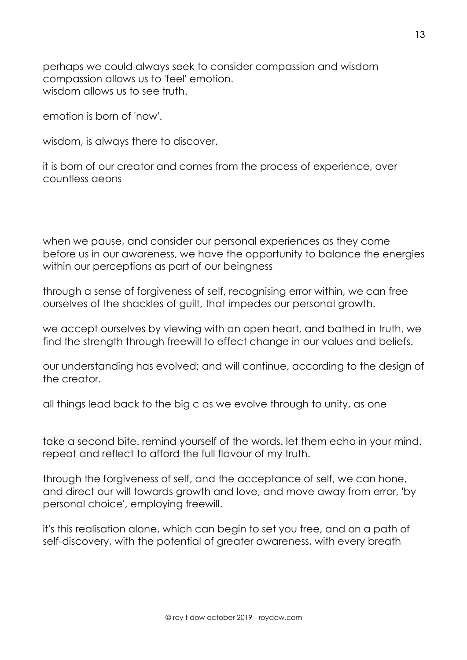perhaps we could always seek to consider compassion and wisdom compassion allows us to 'feel' emotion. wisdom allows us to see truth.

emotion is born of 'now'.

wisdom, is always there to discover.

it is born of our creator and comes from the process of experience, over countless aeons

when we pause, and consider our personal experiences as they come before us in our awareness, we have the opportunity to balance the energies within our perceptions as part of our beingness

through a sense of forgiveness of self, recognising error within, we can free ourselves of the shackles of guilt, that impedes our personal growth.

we accept ourselves by viewing with an open heart, and bathed in truth, we find the strength through freewill to effect change in our values and beliefs.

our understanding has evolved; and will continue, according to the design of the creator.

all things lead back to the big c as we evolve through to unity, as one

take a second bite. remind yourself of the words. let them echo in your mind. repeat and reflect to afford the full flavour of my truth.

through the forgiveness of self, and the acceptance of self, we can hone, and direct our will towards growth and love, and move away from error, 'by personal choice', employing freewill.

it's this realisation alone, which can begin to set you free, and on a path of self-discovery, with the potential of greater awareness, with every breath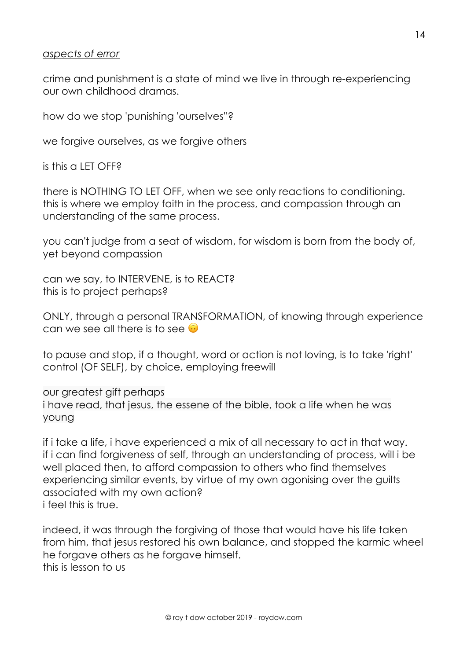#### *aspects of error*

crime and punishment is a state of mind we live in through re-experiencing our own childhood dramas.

how do we stop 'punishing 'ourselves''?

we forgive ourselves, as we forgive others

is this a LET OFF?

there is NOTHING TO LET OFF, when we see only reactions to conditioning. this is where we employ faith in the process, and compassion through an understanding of the same process.

you can't judge from a seat of wisdom, for wisdom is born from the body of, yet beyond compassion

can we say, to INTERVENE, is to REACT? this is to project perhaps?

ONLY, through a personal TRANSFORMATION, of knowing through experience can we see all there is to see  $\odot$ 

to pause and stop, if a thought, word or action is not loving, is to take 'right' control (OF SELF), by choice, employing freewill

our greatest gift perhaps i have read, that jesus, the essene of the bible, took a life when he was young

if i take a life, i have experienced a mix of all necessary to act in that way. if i can find forgiveness of self, through an understanding of process, will i be well placed then, to afford compassion to others who find themselves experiencing similar events, by virtue of my own agonising over the guilts associated with my own action? i feel this is true.

indeed, it was through the forgiving of those that would have his life taken from him, that jesus restored his own balance, and stopped the karmic wheel he forgave others as he forgave himself. this is lesson to us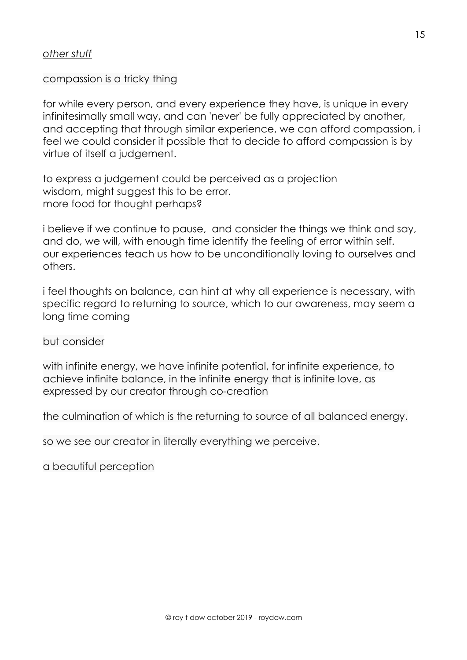## *other stuff*

## compassion is a tricky thing

for while every person, and every experience they have, is unique in every infinitesimally small way, and can 'never' be fully appreciated by another, and accepting that through similar experience, we can afford compassion, i feel we could consider it possible that to decide to afford compassion is by virtue of itself a judgement.

to express a judgement could be perceived as a projection wisdom, might suggest this to be error. more food for thought perhaps?

i believe if we continue to pause, and consider the things we think and say, and do, we will, with enough time identify the feeling of error within self. our experiences teach us how to be unconditionally loving to ourselves and others.

i feel thoughts on balance, can hint at why all experience is necessary, with specific regard to returning to source, which to our awareness, may seem a long time coming

but consider

with infinite energy, we have infinite potential, for infinite experience, to achieve infinite balance, in the infinite energy that is infinite love, as expressed by our creator through co-creation

the culmination of which is the returning to source of all balanced energy.

so we see our creator in literally everything we perceive.

a beautiful perception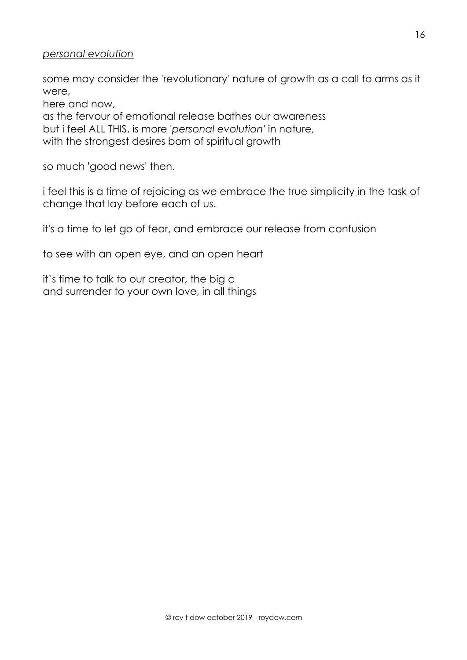#### *personal evolution*

some may consider the 'revolutionary' nature of growth as a call to arms as it were,

here and now,

as the fervour of emotional release bathes our awareness but i feel ALL THIS, is more '*personal evolution'* in nature, with the strongest desires born of spiritual growth

so much 'good news' then.

i feel this is a time of rejoicing as we embrace the true simplicity in the task of change that lay before each of us.

it's a time to let go of fear, and embrace our release from confusion

to see with an open eye, and an open heart

it's time to talk to our creator, the big c and surrender to your own love, in all things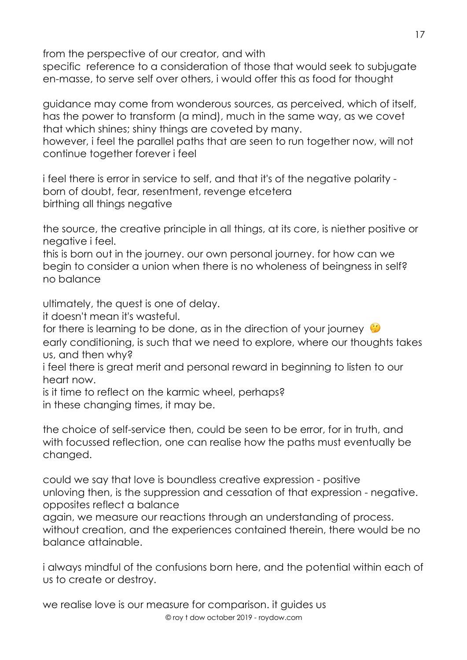from the perspective of our creator, and with

specific reference to a consideration of those that would seek to subjugate en-masse, to serve self over others, i would offer this as food for thought

guidance may come from wonderous sources, as perceived, which of itself, has the power to transform (a mind), much in the same way, as we covet that which shines; shiny things are coveted by many.

however, i feel the parallel paths that are seen to run together now, will not continue together forever i feel

i feel there is error in service to self, and that it's of the negative polarity born of doubt, fear, resentment, revenge etcetera birthing all things negative

the source, the creative principle in all things, at its core, is niether positive or negative i feel.

this is born out in the journey. our own personal journey. for how can we begin to consider a union when there is no wholeness of beingness in self? no balance

ultimately, the quest is one of delay.

it doesn't mean it's wasteful.

for there is learning to be done, as in the direction of your journey  $\ddot{\bullet}$ 

early conditioning, is such that we need to explore, where our thoughts takes us, and then why?

i feel there is great merit and personal reward in beginning to listen to our heart now.

is it time to reflect on the karmic wheel, perhaps? in these changing times, it may be.

the choice of self-service then, could be seen to be error, for in truth, and with focussed reflection, one can realise how the paths must eventually be changed.

could we say that love is boundless creative expression - positive unloving then, is the suppression and cessation of that expression - negative. opposites reflect a balance

again, we measure our reactions through an understanding of process. without creation, and the experiences contained therein, there would be no balance attainable.

i always mindful of the confusions born here, and the potential within each of us to create or destroy.

© roy t dow october 2019 - roydow.com we realise love is our measure for comparison. it guides us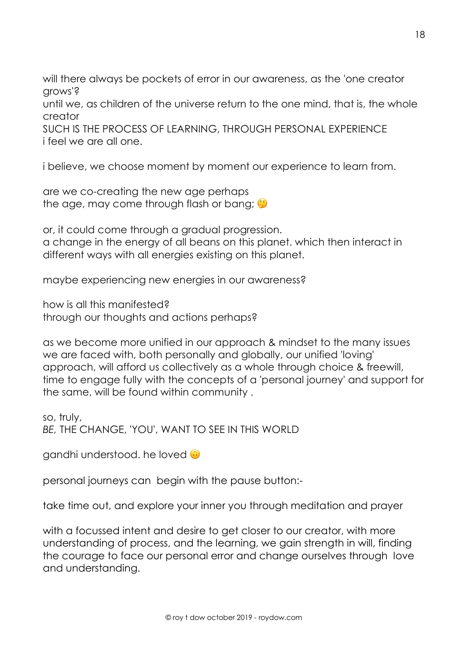will there always be pockets of error in our awareness, as the 'one creator grows'?

until we, as children of the universe return to the one mind, that is, the whole creator

SUCH IS THE PROCESS OF LEARNING, THROUGH PERSONAL EXPERIENCE i feel we are all one.

i believe, we choose moment by moment our experience to learn from.

are we co-creating the new age perhaps the age, may come through flash or bang;

or, it could come through a gradual progression. a change in the energy of all beans on this planet. which then interact in different ways with all energies existing on this planet.

maybe experiencing new energies in our awareness?

how is all this manifested? through our thoughts and actions perhaps?

as we become more unified in our approach & mindset to the many issues we are faced with, both personally and globally, our unified 'loving' approach, will afford us collectively as a whole through choice & freewill, time to engage fully with the concepts of a 'personal journey' and support for the same, will be found within community .

so, truly, *BE,* THE CHANGE, 'YOU', WANT TO SEE IN THIS WORLD

gandhi understood. he loved  $\odot$ 

personal journeys can begin with the pause button:-

take time out, and explore your inner you through meditation and prayer

with a focussed intent and desire to get closer to our creator, with more understanding of process, and the learning, we gain strength in will, finding the courage to face our personal error and change ourselves through love and understanding.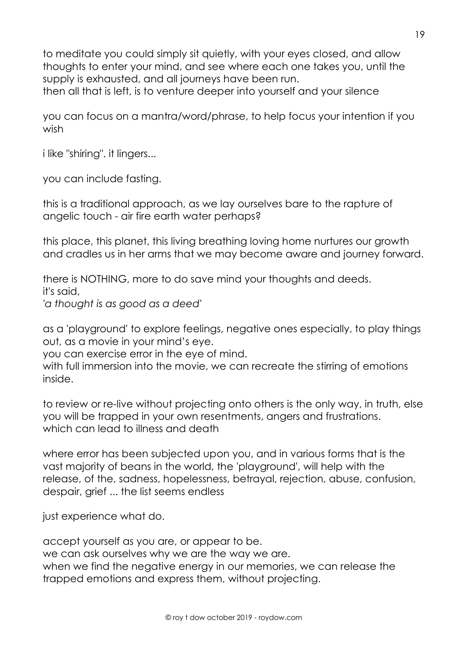to meditate you could simply sit quietly, with your eyes closed, and allow thoughts to enter your mind, and see where each one takes you, until the supply is exhausted, and all journeys have been run. then all that is left, is to venture deeper into yourself and your silence

you can focus on a mantra/word/phrase, to help focus your intention if you wish

i like "shiring". it lingers...

you can include fasting.

this is a traditional approach, as we lay ourselves bare to the rapture of angelic touch - air fire earth water perhaps?

this place, this planet, this living breathing loving home nurtures our growth and cradles us in her arms that we may become aware and journey forward.

there is NOTHING, more to do save mind your thoughts and deeds. it's said, *'a thought is as good as a deed'*

as a 'playground' to explore feelings, negative ones especially, to play things out, as a movie in your mind's eye.

you can exercise error in the eye of mind.

with full immersion into the movie, we can recreate the stirring of emotions inside.

to review or re-live without projecting onto others is the only way, in truth, else you will be trapped in your own resentments, angers and frustrations. which can lead to illness and death

where error has been subjected upon you, and in various forms that is the vast majority of beans in the world, the 'playground', will help with the release, of the, sadness, hopelessness, betrayal, rejection, abuse, confusion, despair, grief ... the list seems endless

just experience what do.

accept yourself as you are, or appear to be.

we can ask ourselves why we are the way we are.

when we find the negative energy in our memories, we can release the trapped emotions and express them, without projecting.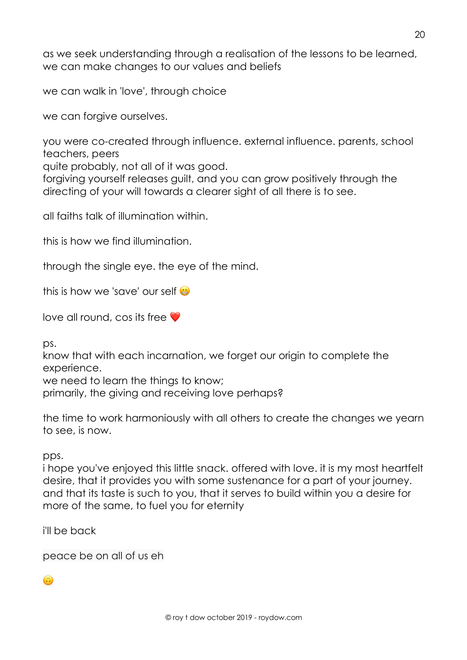as we seek understanding through a realisation of the lessons to be learned, we can make changes to our values and beliefs

we can walk in 'love', through choice

we can forgive ourselves.

you were co-created through influence. external influence. parents, school teachers, peers

quite probably, not all of it was good.

forgiving yourself releases guilt, and you can grow positively through the directing of your will towards a clearer sight of all there is to see.

all faiths talk of illumination within.

this is how we find illumination.

through the single eye. the eye of the mind.

this is how we 'save' our self

love all round, cos its free  $\bullet$ 

ps.

know that with each incarnation, we forget our origin to complete the experience.

we need to learn the things to know;

primarily, the giving and receiving love perhaps?

the time to work harmoniously with all others to create the changes we yearn to see, is now.

pps.

i hope you've enjoyed this little snack. offered with love. it is my most heartfelt desire, that it provides you with some sustenance for a part of your journey. and that its taste is such to you, that it serves to build within you a desire for more of the same, to fuel you for eternity

i'll be back

peace be on all of us eh

**G**